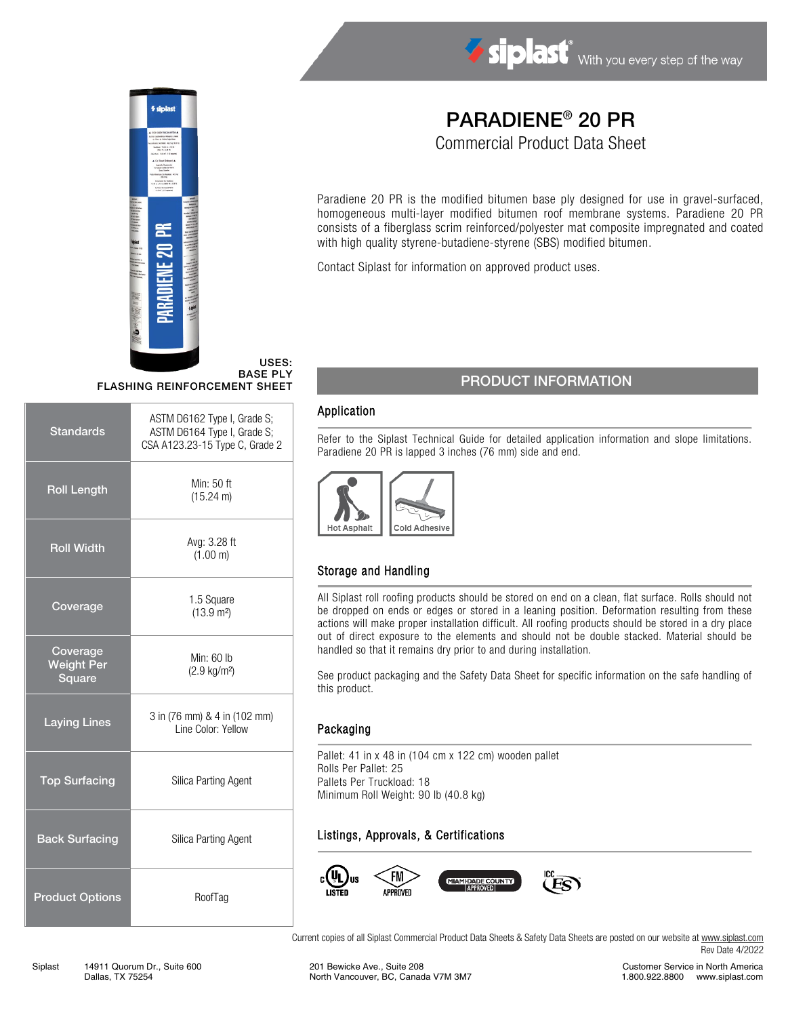

# 笁

USES: BASE PLY FLASHING REINFORCEMENT SHEET

| <b>Standards</b>                        | ASTM D6162 Type I, Grade S;<br>ASTM D6164 Type I, Grade S;<br>CSA A123.23-15 Type C, Grade 2 |  |
|-----------------------------------------|----------------------------------------------------------------------------------------------|--|
| <b>Roll Length</b>                      | Min: 50 ft<br>$(15.24 \text{ m})$                                                            |  |
| <b>Roll Width</b>                       | Avg: 3.28 ft<br>(1.00 m)                                                                     |  |
| Coverage                                | 1.5 Square<br>(13.9 m <sup>2</sup> )                                                         |  |
| Coverage<br><b>Weight Per</b><br>Square | Min: $60$ lb<br>$(2.9 \text{ kg/m}^2)$                                                       |  |
| <b>Laying Lines</b>                     | 3 in (76 mm) & 4 in (102 mm)<br>Line Color: Yellow                                           |  |
| <b>Top Surfacing</b>                    | Silica Parting Agent                                                                         |  |
| <b>Back Surfacing</b>                   | Silica Parting Agent                                                                         |  |
| <b>Product Options</b>                  | RoofTag                                                                                      |  |

# PARADIENE® 20 PR

Commercial Product Data Sheet

Paradiene 20 PR is the modified bitumen base ply designed for use in gravel-surfaced, homogeneous multi-layer modified bitumen roof membrane systems. Paradiene 20 PR consists of a fiberglass scrim reinforced/polyester mat composite impregnated and coated with high quality styrene-butadiene-styrene (SBS) modified bitumen.

Contact Siplast for information on approved product uses.

### PRODUCT INFORMATION

### Application

Refer to the Siplast Technical Guide for detailed application information and slope limitations. Paradiene 20 PR is lapped 3 inches (76 mm) side and end.



### Storage and Handling

All Siplast roll roofing products should be stored on end on a clean, flat surface. Rolls should not be dropped on ends or edges or stored in a leaning position. Deformation resulting from these actions will make proper installation difficult. All roofing products should be stored in a dry place out of direct exposure to the elements and should not be double stacked. Material should be handled so that it remains dry prior to and during installation.

See product packaging and the Safety Data Sheet for specific information on the safe handling of this product.

### Packaging

Pallet: 41 in x 48 in (104 cm x 122 cm) wooden pallet Rolls Per Pallet: 25 Pallets Per Truckload: 18 Minimum Roll Weight: 90 lb (40.8 kg)

### Listings, Approvals, & Certifications



Current copies of all Siplast Commercial Product Data Sheets & Safety Data Sheets are posted on our website a[t www.siplast.com](http://www.siplast.com/) Rev Date 4/2022